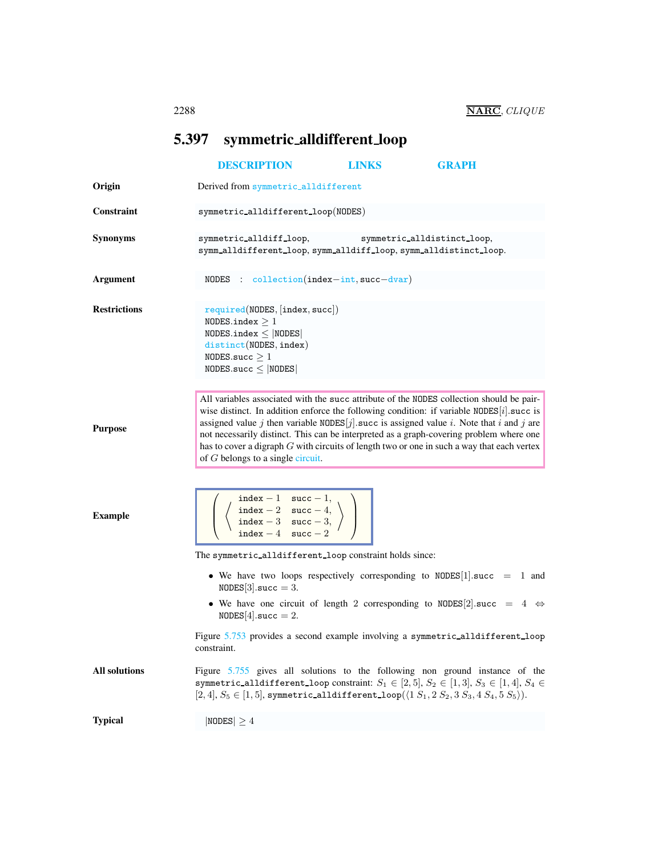<span id="page-0-0"></span>

|                      | 5.397 symmetric_alldifferent_loop                                                                                                                                                                                     |              |                             |                                                                                                                                                                                                                                                                                                                                                                                                                                                                              |
|----------------------|-----------------------------------------------------------------------------------------------------------------------------------------------------------------------------------------------------------------------|--------------|-----------------------------|------------------------------------------------------------------------------------------------------------------------------------------------------------------------------------------------------------------------------------------------------------------------------------------------------------------------------------------------------------------------------------------------------------------------------------------------------------------------------|
|                      | <b>DESCRIPTION</b>                                                                                                                                                                                                    | <b>LINKS</b> |                             | <b>GRAPH</b>                                                                                                                                                                                                                                                                                                                                                                                                                                                                 |
| Origin               | Derived from symmetric_alldifferent                                                                                                                                                                                   |              |                             |                                                                                                                                                                                                                                                                                                                                                                                                                                                                              |
| Constraint           | symmetric_alldifferent_loop(NODES)                                                                                                                                                                                    |              |                             |                                                                                                                                                                                                                                                                                                                                                                                                                                                                              |
| <b>Synonyms</b>      | symmetric_alldiff_loop,<br>symm_alldifferent_loop, symm_alldiff_loop, symm_alldistinct_loop.                                                                                                                          |              | symmetric_alldistinct_loop, |                                                                                                                                                                                                                                                                                                                                                                                                                                                                              |
| <b>Argument</b>      | NODES : $\text{collection}(\text{index}-\text{int}, \text{succ}-\text{dvar})$                                                                                                                                         |              |                             |                                                                                                                                                                                                                                                                                                                                                                                                                                                                              |
| <b>Restrictions</b>  | required(NDDES, [index, succ])<br>NODES.index $\geq 1$<br>NODES.index $\leq$  NODES <br>distinct(NODES, index)<br>NODES.succ $\geq 1$<br>NODES.succ $\leq$  NODES                                                     |              |                             |                                                                                                                                                                                                                                                                                                                                                                                                                                                                              |
| <b>Purpose</b>       | of $G$ belongs to a single circuit.                                                                                                                                                                                   |              |                             | All variables associated with the succ attribute of the NODES collection should be pair-<br>wise distinct. In addition enforce the following condition: if variable $NODES[i]$ succ is<br>assigned value j then variable NODES[j] succ is assigned value i. Note that i and j are<br>not necessarily distinct. This can be interpreted as a graph-covering problem where one<br>has to cover a digraph $G$ with circuits of length two or one in such a way that each vertex |
| <b>Example</b>       | $\left(\begin{array}{ccc} \texttt{index} - 1 & \texttt{succ} - 1, \\ \texttt{index} - 2 & \texttt{succ} - 4, \\ \texttt{index} - 3 & \texttt{succ} - 3, \\ \texttt{index} - 4 & \texttt{succ} - 2 \end{array}\right)$ |              |                             |                                                                                                                                                                                                                                                                                                                                                                                                                                                                              |
|                      | The symmetric_alldifferent_loop constraint holds since:                                                                                                                                                               |              |                             |                                                                                                                                                                                                                                                                                                                                                                                                                                                                              |
|                      | $NODES[3].succ = 3.$                                                                                                                                                                                                  |              |                             | • We have two loops respectively corresponding to $NODES[1].succ = 1$ and                                                                                                                                                                                                                                                                                                                                                                                                    |
|                      | $\texttt{NODES}[4].\texttt{succ} = 2.$                                                                                                                                                                                |              |                             | • We have one circuit of length 2 corresponding to NODES [2] succ = 4 $\Leftrightarrow$                                                                                                                                                                                                                                                                                                                                                                                      |
|                      | constraint.                                                                                                                                                                                                           |              |                             | Figure 5.753 provides a second example involving a symmetric_alldifferent_loop                                                                                                                                                                                                                                                                                                                                                                                               |
| <b>All solutions</b> | $[2, 4], S_5 \in [1, 5],$ symmetric_alldifferent_loop( $\langle 1 S_1, 2 S_2, 3 S_3, 4 S_4, 5 S_5 \rangle$ ).                                                                                                         |              |                             | Figure 5.755 gives all solutions to the following non ground instance of the<br>symmetric alldifferent loop constraint: $S_1 \in [2,5]$ , $S_2 \in [1,3]$ , $S_3 \in [1,4]$ , $S_4 \in$                                                                                                                                                                                                                                                                                      |
| <b>Typical</b>       | $ NODES  \geq 4$                                                                                                                                                                                                      |              |                             |                                                                                                                                                                                                                                                                                                                                                                                                                                                                              |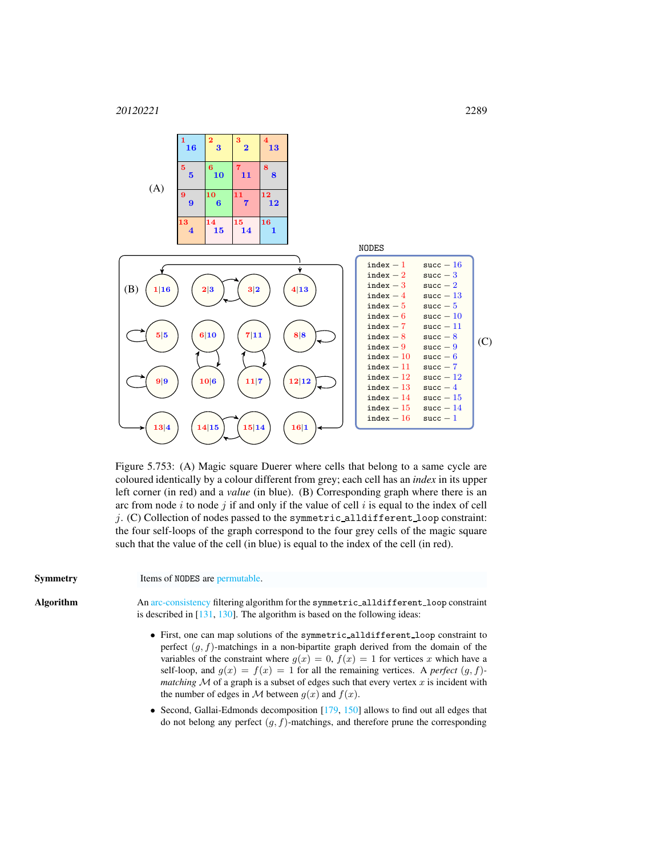

<span id="page-1-0"></span>Figure 5.753: (A) Magic square Duerer where cells that belong to a same cycle are coloured identically by a colour different from grey; each cell has an *index* in its upper left corner (in red) and a *value* (in blue). (B) Corresponding graph where there is an arc from node  $i$  to node  $j$  if and only if the value of cell  $i$  is equal to the index of cell  $j$ . (C) Collection of nodes passed to the symmetric alldifferent loop constraint: the four self-loops of the graph correspond to the four grey cells of the magic square such that the value of the cell (in blue) is equal to the index of the cell (in red).



- perfect  $(g, f)$ -matchings in a non-bipartite graph derived from the domain of the variables of the constraint where  $g(x) = 0$ ,  $f(x) = 1$  for vertices x which have a self-loop, and  $g(x) = f(x) = 1$  for all the remaining vertices. A *perfect*  $(g, f)$ *matching*  $M$  of a graph is a subset of edges such that every vertex  $x$  is incident with the number of edges in  $M$  between  $g(x)$  and  $f(x)$ .
- Second, Gallai-Edmonds decomposition [179, 150] allows to find out all edges that do not belong any perfect  $(g, f)$ -matchings, and therefore prune the corresponding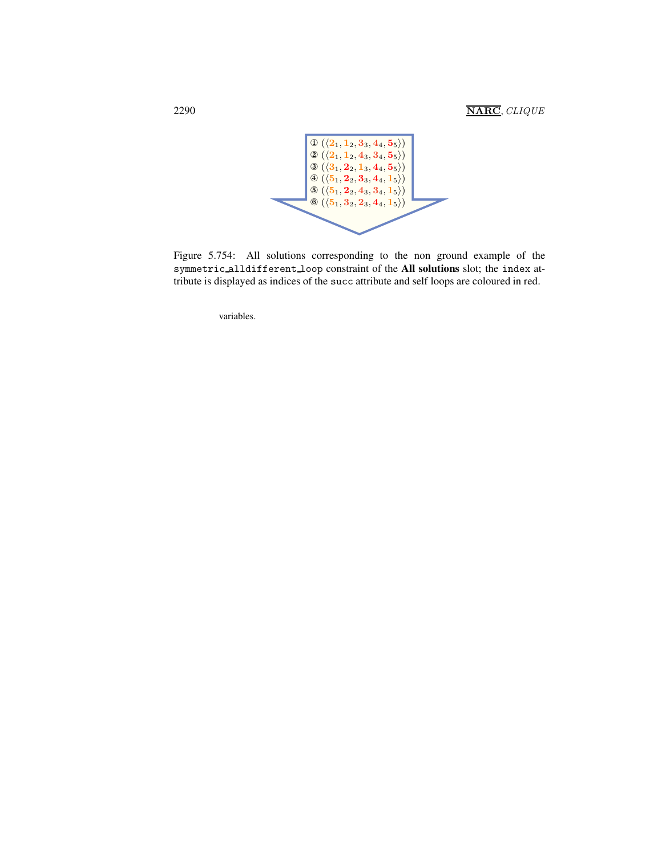

Figure 5.754: All solutions corresponding to the non ground example of the symmetric alldifferent loop constraint of the All solutions slot; the index attribute is displayed as indices of the succ attribute and self loops are coloured in red.

variables.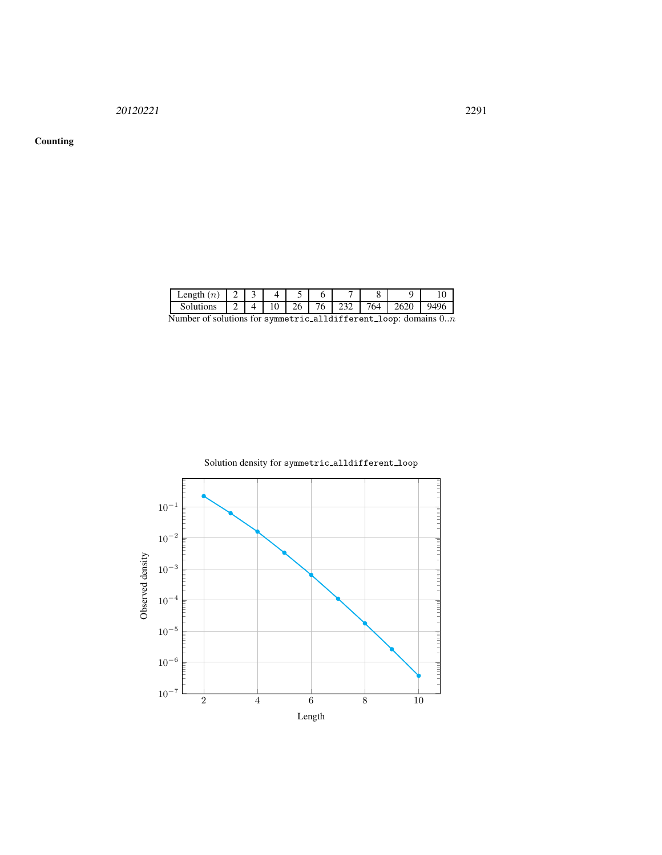<sup>20120221</sup> 2291

## Counting

| Length $(n)$   2   3   4                                          |  |  |  |  | 10 |
|-------------------------------------------------------------------|--|--|--|--|----|
|                                                                   |  |  |  |  |    |
| Number of solutions for symmetric_alldifferent_loop: domains $0n$ |  |  |  |  |    |



Solution density for symmetric alldifferent loop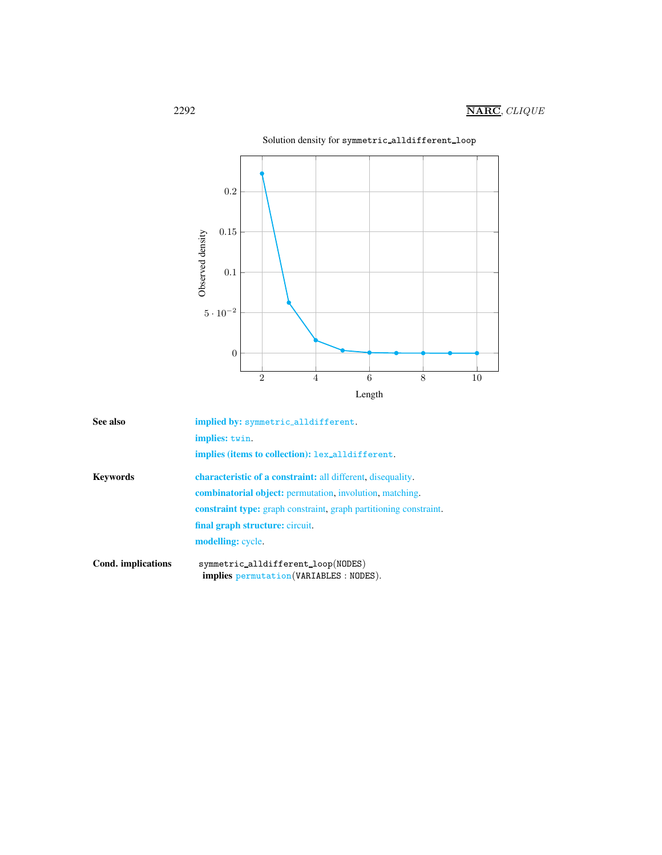

| Solution density for symmetric_alldifferent_loop |  |
|--------------------------------------------------|--|
|                                                  |  |

<span id="page-4-0"></span>

| See also           | <b>implied by: symmetric_alldifferent.</b>                                     |  |  |  |
|--------------------|--------------------------------------------------------------------------------|--|--|--|
|                    | implies: twin.                                                                 |  |  |  |
|                    | implies (items to collection): lex_alldifferent.                               |  |  |  |
| <b>Keywords</b>    | <b>characteristic of a constraint:</b> all different, disequality.             |  |  |  |
|                    | <b>combinatorial object:</b> permutation, involution, matching.                |  |  |  |
|                    | <b>constraint type:</b> graph constraint, graph partitioning constraint.       |  |  |  |
|                    | final graph structure: circuit.                                                |  |  |  |
|                    | <b>modelling:</b> cycle.                                                       |  |  |  |
| Cond. implications | symmetric_alldifferent_loop(NODES)<br>implies permutation (VARIABLES : NODES). |  |  |  |